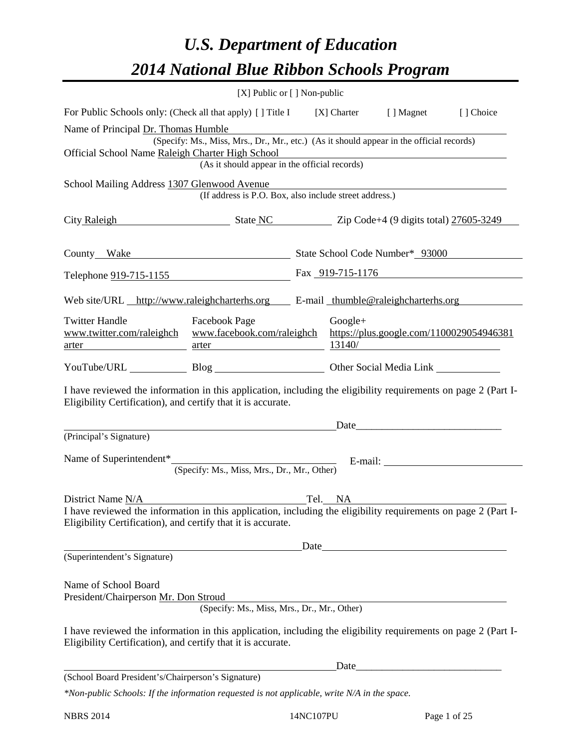# *U.S. Department of Education 2014 National Blue Ribbon Schools Program*

|                                                                                                                                                                                                                         | [X] Public or [] Non-public                                                              |  |           |                                                    |           |  |  |  |
|-------------------------------------------------------------------------------------------------------------------------------------------------------------------------------------------------------------------------|------------------------------------------------------------------------------------------|--|-----------|----------------------------------------------------|-----------|--|--|--|
| For Public Schools only: (Check all that apply) [] Title I [X] Charter [] Magnet                                                                                                                                        |                                                                                          |  |           |                                                    | [] Choice |  |  |  |
| Name of Principal Dr. Thomas Humble                                                                                                                                                                                     | (Specify: Ms., Miss, Mrs., Dr., Mr., etc.) (As it should appear in the official records) |  |           |                                                    |           |  |  |  |
| Official School Name Raleigh Charter High School                                                                                                                                                                        | Tharter High School<br>(As it should appear in the official records)                     |  |           |                                                    |           |  |  |  |
| School Mailing Address 1307 Glenwood Avenue                                                                                                                                                                             | (If address is P.O. Box, also include street address.)                                   |  |           |                                                    |           |  |  |  |
| City Raleigh State NC Zip Code+4 (9 digits total) 27605-3249                                                                                                                                                            |                                                                                          |  |           |                                                    |           |  |  |  |
| County_Wake Mumber* 93000                                                                                                                                                                                               |                                                                                          |  |           |                                                    |           |  |  |  |
| Telephone 919-715-1155 Fax 919-715-1176                                                                                                                                                                                 |                                                                                          |  |           |                                                    |           |  |  |  |
| Web site/URL http://www.raleighcharterhs.org E-mail thumble@raleighcharterhs.org                                                                                                                                        |                                                                                          |  |           |                                                    |           |  |  |  |
| <b>Twitter Handle</b><br>www.twitter.com/raleighch www.facebook.com/raleighch                                                                                                                                           | <b>Facebook Page</b><br><u>arter</u>                                                     |  | $Google+$ | https://plus.google.com/1100029054946381<br>13140/ |           |  |  |  |
| YouTube/URL Blog Blog Other Social Media Link                                                                                                                                                                           |                                                                                          |  |           |                                                    |           |  |  |  |
| I have reviewed the information in this application, including the eligibility requirements on page 2 (Part I-<br>Eligibility Certification), and certify that it is accurate.                                          |                                                                                          |  |           |                                                    |           |  |  |  |
|                                                                                                                                                                                                                         |                                                                                          |  |           | Date                                               |           |  |  |  |
| (Principal's Signature)                                                                                                                                                                                                 |                                                                                          |  |           |                                                    |           |  |  |  |
| Name of Superintendent* (Specify: Ms., Miss, Mrs., Dr., Mr., Other) E-mail:                                                                                                                                             |                                                                                          |  |           |                                                    |           |  |  |  |
|                                                                                                                                                                                                                         |                                                                                          |  |           |                                                    |           |  |  |  |
| District Name $\frac{N/A}{A}$ Tel. NA<br>I have reviewed the information in this application, including the eligibility requirements on page 2 (Part I-<br>Eligibility Certification), and certify that it is accurate. |                                                                                          |  |           |                                                    |           |  |  |  |
|                                                                                                                                                                                                                         |                                                                                          |  |           | Date                                               |           |  |  |  |
| (Superintendent's Signature)                                                                                                                                                                                            |                                                                                          |  |           |                                                    |           |  |  |  |
| Name of School Board<br>President/Chairperson Mr. Don Stroud                                                                                                                                                            |                                                                                          |  |           |                                                    |           |  |  |  |
|                                                                                                                                                                                                                         | (Specify: Ms., Miss, Mrs., Dr., Mr., Other)                                              |  |           |                                                    |           |  |  |  |
| I have reviewed the information in this application, including the eligibility requirements on page 2 (Part I-<br>Eligibility Certification), and certify that it is accurate.                                          |                                                                                          |  |           |                                                    |           |  |  |  |
|                                                                                                                                                                                                                         |                                                                                          |  |           |                                                    |           |  |  |  |
| (School Board President's/Chairperson's Signature)                                                                                                                                                                      |                                                                                          |  |           |                                                    |           |  |  |  |
| $*$ Non-public Schools: If the information requested is not applicable, write N/A in the space.                                                                                                                         |                                                                                          |  |           |                                                    |           |  |  |  |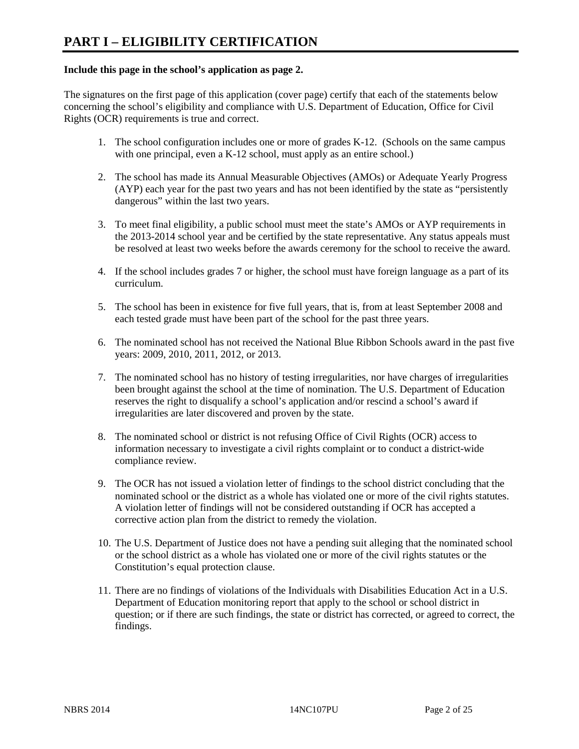#### **Include this page in the school's application as page 2.**

The signatures on the first page of this application (cover page) certify that each of the statements below concerning the school's eligibility and compliance with U.S. Department of Education, Office for Civil Rights (OCR) requirements is true and correct.

- 1. The school configuration includes one or more of grades K-12. (Schools on the same campus with one principal, even a K-12 school, must apply as an entire school.)
- 2. The school has made its Annual Measurable Objectives (AMOs) or Adequate Yearly Progress (AYP) each year for the past two years and has not been identified by the state as "persistently dangerous" within the last two years.
- 3. To meet final eligibility, a public school must meet the state's AMOs or AYP requirements in the 2013-2014 school year and be certified by the state representative. Any status appeals must be resolved at least two weeks before the awards ceremony for the school to receive the award.
- 4. If the school includes grades 7 or higher, the school must have foreign language as a part of its curriculum.
- 5. The school has been in existence for five full years, that is, from at least September 2008 and each tested grade must have been part of the school for the past three years.
- 6. The nominated school has not received the National Blue Ribbon Schools award in the past five years: 2009, 2010, 2011, 2012, or 2013.
- 7. The nominated school has no history of testing irregularities, nor have charges of irregularities been brought against the school at the time of nomination. The U.S. Department of Education reserves the right to disqualify a school's application and/or rescind a school's award if irregularities are later discovered and proven by the state.
- 8. The nominated school or district is not refusing Office of Civil Rights (OCR) access to information necessary to investigate a civil rights complaint or to conduct a district-wide compliance review.
- 9. The OCR has not issued a violation letter of findings to the school district concluding that the nominated school or the district as a whole has violated one or more of the civil rights statutes. A violation letter of findings will not be considered outstanding if OCR has accepted a corrective action plan from the district to remedy the violation.
- 10. The U.S. Department of Justice does not have a pending suit alleging that the nominated school or the school district as a whole has violated one or more of the civil rights statutes or the Constitution's equal protection clause.
- 11. There are no findings of violations of the Individuals with Disabilities Education Act in a U.S. Department of Education monitoring report that apply to the school or school district in question; or if there are such findings, the state or district has corrected, or agreed to correct, the findings.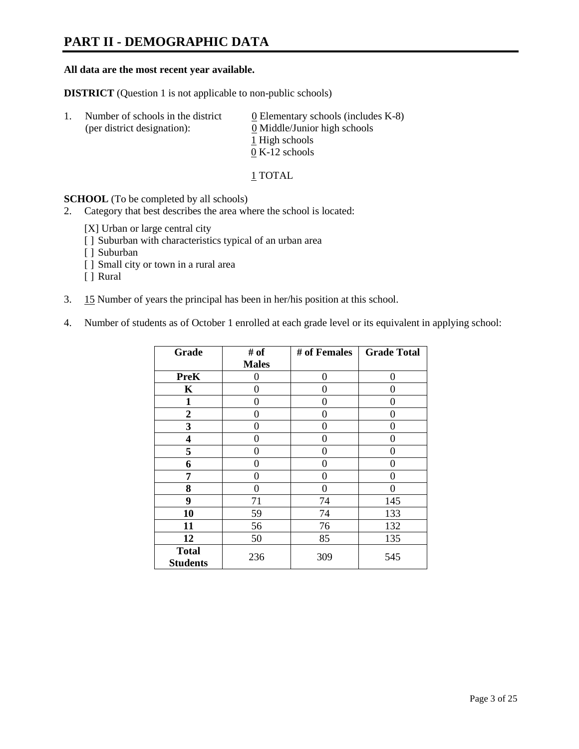### **PART II - DEMOGRAPHIC DATA**

#### **All data are the most recent year available.**

**DISTRICT** (Question 1 is not applicable to non-public schools)

| -1. | Number of schools in the district<br>(per district designation): | $\underline{0}$ Elementary schools (includes K-8)<br>0 Middle/Junior high schools |
|-----|------------------------------------------------------------------|-----------------------------------------------------------------------------------|
|     |                                                                  | 1 High schools                                                                    |
|     |                                                                  | $0 K-12$ schools                                                                  |

1 TOTAL

**SCHOOL** (To be completed by all schools)

- 2. Category that best describes the area where the school is located:
	- [X] Urban or large central city
	- [ ] Suburban with characteristics typical of an urban area
	- [ ] Suburban
	- [ ] Small city or town in a rural area
	- [ ] Rural
- 3. 15 Number of years the principal has been in her/his position at this school.
- 4. Number of students as of October 1 enrolled at each grade level or its equivalent in applying school:

| Grade                           | # of         | # of Females | <b>Grade Total</b> |
|---------------------------------|--------------|--------------|--------------------|
|                                 | <b>Males</b> |              |                    |
| <b>PreK</b>                     | 0            | 0            | 0                  |
| K                               | 0            | 0            | 0                  |
| $\mathbf{1}$                    | 0            | 0            | 0                  |
| $\overline{2}$                  | 0            | 0            | 0                  |
| 3                               | 0            | 0            | 0                  |
| 4                               | 0            | 0            | 0                  |
| 5                               | 0            | 0            | 0                  |
| 6                               | 0            | 0            | 0                  |
| 7                               | 0            | 0            | 0                  |
| 8                               | 0            | 0            | 0                  |
| 9                               | 71           | 74           | 145                |
| 10                              | 59           | 74           | 133                |
| 11                              | 56           | 76           | 132                |
| 12                              | 50           | 85           | 135                |
| <b>Total</b><br><b>Students</b> | 236          | 309          | 545                |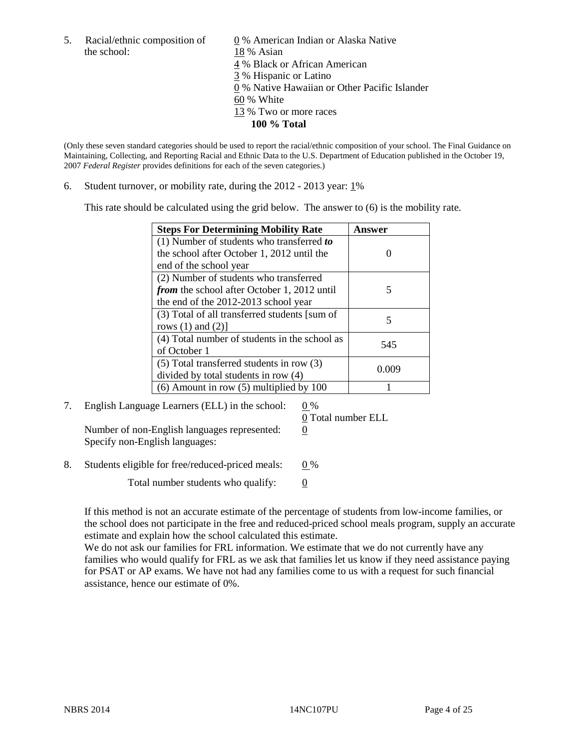the school: 18 % Asian

5. Racial/ethnic composition of  $0\%$  American Indian or Alaska Native 4 % Black or African American 3 % Hispanic or Latino 0 % Native Hawaiian or Other Pacific Islander 60 % White 13 % Two or more races **100 % Total** 

(Only these seven standard categories should be used to report the racial/ethnic composition of your school. The Final Guidance on Maintaining, Collecting, and Reporting Racial and Ethnic Data to the U.S. Department of Education published in the October 19, 2007 *Federal Register* provides definitions for each of the seven categories.)

6. Student turnover, or mobility rate, during the  $2012 - 2013$  year:  $1\%$ 

This rate should be calculated using the grid below. The answer to (6) is the mobility rate.

| <b>Steps For Determining Mobility Rate</b>         | <b>Answer</b> |
|----------------------------------------------------|---------------|
| (1) Number of students who transferred to          |               |
| the school after October 1, 2012 until the         |               |
| end of the school year                             |               |
| (2) Number of students who transferred             |               |
| <i>from</i> the school after October 1, 2012 until | 5             |
| the end of the 2012-2013 school year               |               |
| (3) Total of all transferred students [sum of      |               |
| rows $(1)$ and $(2)$ ]                             |               |
| (4) Total number of students in the school as      | 545           |
| of October 1                                       |               |
| $(5)$ Total transferred students in row $(3)$      |               |
| divided by total students in row (4)               | 0.009         |
| $(6)$ Amount in row $(5)$ multiplied by 100        |               |

7. English Language Learners (ELL) in the school:  $0\%$ 

Number of non-English languages represented:  $0$ Specify non-English languages:

0 Total number ELL

8. Students eligible for free/reduced-priced meals:  $0\%$ 

Total number students who qualify:  $\qquad 0$ 

If this method is not an accurate estimate of the percentage of students from low-income families, or the school does not participate in the free and reduced-priced school meals program, supply an accurate estimate and explain how the school calculated this estimate.

We do not ask our families for FRL information. We estimate that we do not currently have any families who would qualify for FRL as we ask that families let us know if they need assistance paying for PSAT or AP exams. We have not had any families come to us with a request for such financial assistance, hence our estimate of 0%.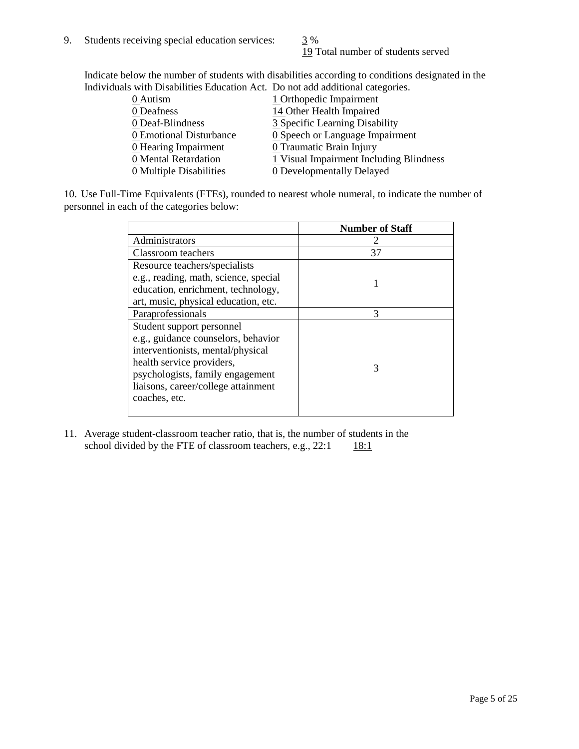19 Total number of students served

Indicate below the number of students with disabilities according to conditions designated in the Individuals with Disabilities Education Act. Do not add additional categories.

| <u>martically trial Disachities Buaealon ried. Do not auu auuritonal eale conest</u> |                                         |
|--------------------------------------------------------------------------------------|-----------------------------------------|
| 0 Autism                                                                             | 1 Orthopedic Impairment                 |
| 0 Deafness                                                                           | 14 Other Health Impaired                |
| 0 Deaf-Blindness                                                                     | 3 Specific Learning Disability          |
| 0 Emotional Disturbance                                                              | <b>0</b> Speech or Language Impairment  |
| <b>0</b> Hearing Impairment                                                          | 0 Traumatic Brain Injury                |
| 0 Mental Retardation                                                                 | 1 Visual Impairment Including Blindness |
| 0 Multiple Disabilities                                                              | <b>0</b> Developmentally Delayed        |
|                                                                                      |                                         |

10. Use Full-Time Equivalents (FTEs), rounded to nearest whole numeral, to indicate the number of personnel in each of the categories below:

|                                       | <b>Number of Staff</b> |
|---------------------------------------|------------------------|
| Administrators                        |                        |
| Classroom teachers                    | 37                     |
| Resource teachers/specialists         |                        |
| e.g., reading, math, science, special |                        |
| education, enrichment, technology,    |                        |
| art, music, physical education, etc.  |                        |
| Paraprofessionals                     | 3                      |
| Student support personnel             |                        |
| e.g., guidance counselors, behavior   |                        |
| interventionists, mental/physical     |                        |
| health service providers,             | 3                      |
| psychologists, family engagement      |                        |
| liaisons, career/college attainment   |                        |
| coaches, etc.                         |                        |
|                                       |                        |

11. Average student-classroom teacher ratio, that is, the number of students in the school divided by the FTE of classroom teachers, e.g.,  $22:1$  18:1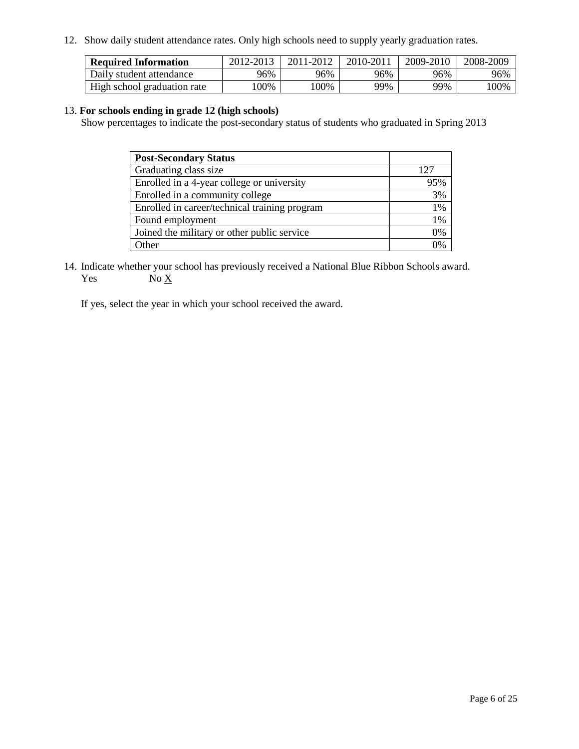12. Show daily student attendance rates. Only high schools need to supply yearly graduation rates.

| <b>Required Information</b> | 2012-2013 | 2011-2012 | 2010-2011 | 2009-2010 | 2008-2009 |
|-----------------------------|-----------|-----------|-----------|-----------|-----------|
| Daily student attendance    | 96%       | 96%       | 96%       | 96%       | 96%       |
| High school graduation rate | 00%       | 00%       | 99%       | 99%       | 100%      |

#### 13. **For schools ending in grade 12 (high schools)**

Show percentages to indicate the post-secondary status of students who graduated in Spring 2013

| <b>Post-Secondary Status</b>                  |       |
|-----------------------------------------------|-------|
| Graduating class size                         | 127   |
| Enrolled in a 4-year college or university    | 95%   |
| Enrolled in a community college               | 3%    |
| Enrolled in career/technical training program | 1%    |
| Found employment                              | $1\%$ |
| Joined the military or other public service   | 0%    |
| <b>Other</b>                                  | $0\%$ |

14. Indicate whether your school has previously received a National Blue Ribbon Schools award. Yes  $No \underline{X}$ 

If yes, select the year in which your school received the award.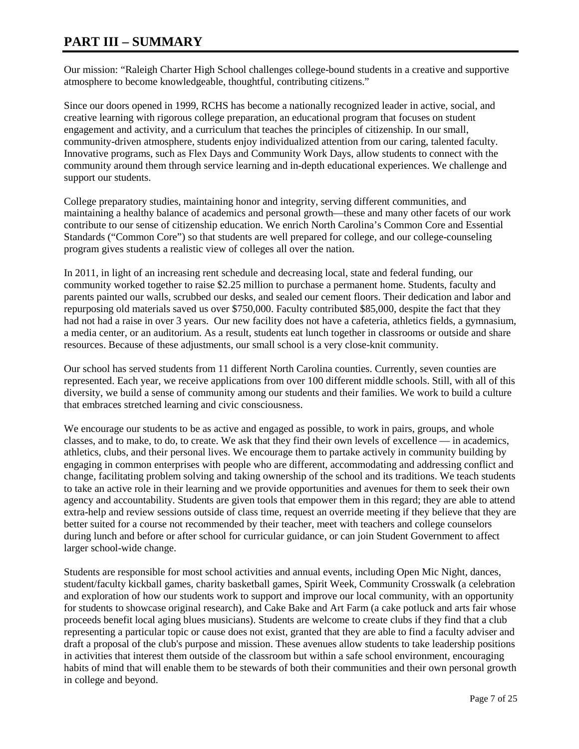### **PART III – SUMMARY**

Our mission: "Raleigh Charter High School challenges college-bound students in a creative and supportive atmosphere to become knowledgeable, thoughtful, contributing citizens."

Since our doors opened in 1999, RCHS has become a nationally recognized leader in active, social, and creative learning with rigorous college preparation, an educational program that focuses on student engagement and activity, and a curriculum that teaches the principles of citizenship. In our small, community-driven atmosphere, students enjoy individualized attention from our caring, talented faculty. Innovative programs, such as Flex Days and Community Work Days, allow students to connect with the community around them through service learning and in-depth educational experiences. We challenge and support our students.

College preparatory studies, maintaining honor and integrity, serving different communities, and maintaining a healthy balance of academics and personal growth—these and many other facets of our work contribute to our sense of citizenship education. We enrich North Carolina's Common Core and Essential Standards ("Common Core") so that students are well prepared for college, and our college-counseling program gives students a realistic view of colleges all over the nation.

In 2011, in light of an increasing rent schedule and decreasing local, state and federal funding, our community worked together to raise \$2.25 million to purchase a permanent home. Students, faculty and parents painted our walls, scrubbed our desks, and sealed our cement floors. Their dedication and labor and repurposing old materials saved us over \$750,000. Faculty contributed \$85,000, despite the fact that they had not had a raise in over 3 years. Our new facility does not have a cafeteria, athletics fields, a gymnasium, a media center, or an auditorium. As a result, students eat lunch together in classrooms or outside and share resources. Because of these adjustments, our small school is a very close-knit community.

Our school has served students from 11 different North Carolina counties. Currently, seven counties are represented. Each year, we receive applications from over 100 different middle schools. Still, with all of this diversity, we build a sense of community among our students and their families. We work to build a culture that embraces stretched learning and civic consciousness.

We encourage our students to be as active and engaged as possible, to work in pairs, groups, and whole classes, and to make, to do, to create. We ask that they find their own levels of excellence — in academics, athletics, clubs, and their personal lives. We encourage them to partake actively in community building by engaging in common enterprises with people who are different, accommodating and addressing conflict and change, facilitating problem solving and taking ownership of the school and its traditions. We teach students to take an active role in their learning and we provide opportunities and avenues for them to seek their own agency and accountability. Students are given tools that empower them in this regard; they are able to attend extra-help and review sessions outside of class time, request an override meeting if they believe that they are better suited for a course not recommended by their teacher, meet with teachers and college counselors during lunch and before or after school for curricular guidance, or can join Student Government to affect larger school-wide change.

Students are responsible for most school activities and annual events, including Open Mic Night, dances, student/faculty kickball games, charity basketball games, Spirit Week, Community Crosswalk (a celebration and exploration of how our students work to support and improve our local community, with an opportunity for students to showcase original research), and Cake Bake and Art Farm (a cake potluck and arts fair whose proceeds benefit local aging blues musicians). Students are welcome to create clubs if they find that a club representing a particular topic or cause does not exist, granted that they are able to find a faculty adviser and draft a proposal of the club's purpose and mission. These avenues allow students to take leadership positions in activities that interest them outside of the classroom but within a safe school environment, encouraging habits of mind that will enable them to be stewards of both their communities and their own personal growth in college and beyond.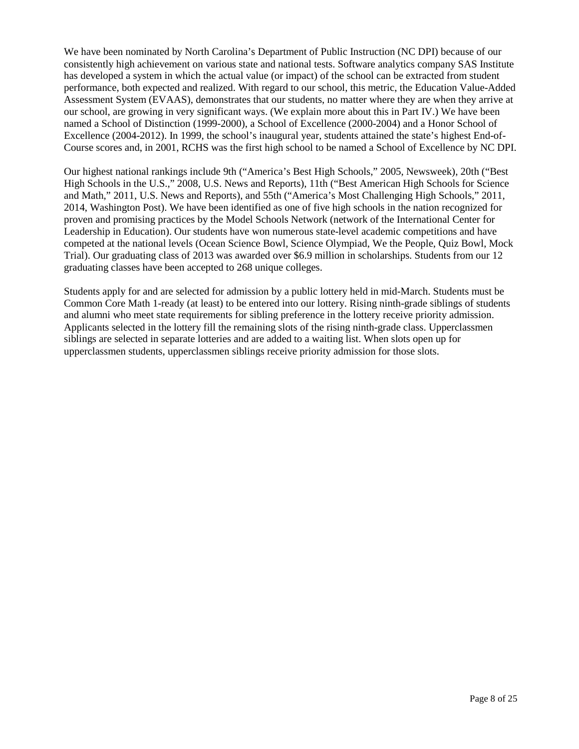We have been nominated by North Carolina's Department of Public Instruction (NC DPI) because of our consistently high achievement on various state and national tests. Software analytics company SAS Institute has developed a system in which the actual value (or impact) of the school can be extracted from student performance, both expected and realized. With regard to our school, this metric, the Education Value-Added Assessment System (EVAAS), demonstrates that our students, no matter where they are when they arrive at our school, are growing in very significant ways. (We explain more about this in Part IV.) We have been named a School of Distinction (1999-2000), a School of Excellence (2000-2004) and a Honor School of Excellence (2004-2012). In 1999, the school's inaugural year, students attained the state's highest End-of-Course scores and, in 2001, RCHS was the first high school to be named a School of Excellence by NC DPI.

Our highest national rankings include 9th ("America's Best High Schools," 2005, Newsweek), 20th ("Best High Schools in the U.S.," 2008, U.S. News and Reports), 11th ("Best American High Schools for Science and Math," 2011, U.S. News and Reports), and 55th ("America's Most Challenging High Schools," 2011, 2014, Washington Post). We have been identified as one of five high schools in the nation recognized for proven and promising practices by the Model Schools Network (network of the International Center for Leadership in Education). Our students have won numerous state-level academic competitions and have competed at the national levels (Ocean Science Bowl, Science Olympiad, We the People, Quiz Bowl, Mock Trial). Our graduating class of 2013 was awarded over \$6.9 million in scholarships. Students from our 12 graduating classes have been accepted to 268 unique colleges.

Students apply for and are selected for admission by a public lottery held in mid-March. Students must be Common Core Math 1-ready (at least) to be entered into our lottery. Rising ninth-grade siblings of students and alumni who meet state requirements for sibling preference in the lottery receive priority admission. Applicants selected in the lottery fill the remaining slots of the rising ninth-grade class. Upperclassmen siblings are selected in separate lotteries and are added to a waiting list. When slots open up for upperclassmen students, upperclassmen siblings receive priority admission for those slots.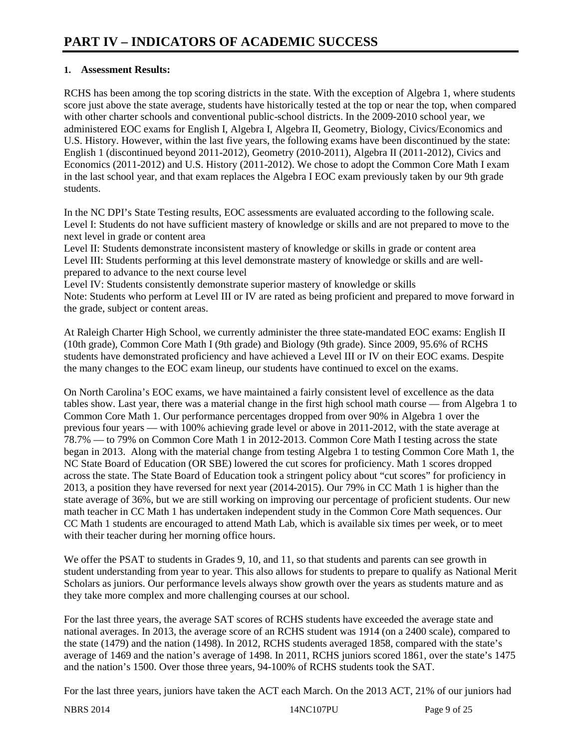#### **1. Assessment Results:**

RCHS has been among the top scoring districts in the state. With the exception of Algebra 1, where students score just above the state average, students have historically tested at the top or near the top, when compared with other charter schools and conventional public-school districts. In the 2009-2010 school year, we administered EOC exams for English I, Algebra I, Algebra II, Geometry, Biology, Civics/Economics and U.S. History. However, within the last five years, the following exams have been discontinued by the state: English 1 (discontinued beyond 2011-2012), Geometry (2010-2011), Algebra II (2011-2012), Civics and Economics (2011-2012) and U.S. History (2011-2012). We chose to adopt the Common Core Math I exam in the last school year, and that exam replaces the Algebra I EOC exam previously taken by our 9th grade students.

In the NC DPI's State Testing results, EOC assessments are evaluated according to the following scale. Level I: Students do not have sufficient mastery of knowledge or skills and are not prepared to move to the next level in grade or content area

Level II: Students demonstrate inconsistent mastery of knowledge or skills in grade or content area Level III: Students performing at this level demonstrate mastery of knowledge or skills and are wellprepared to advance to the next course level

Level IV: Students consistently demonstrate superior mastery of knowledge or skills Note: Students who perform at Level III or IV are rated as being proficient and prepared to move forward in the grade, subject or content areas.

At Raleigh Charter High School, we currently administer the three state-mandated EOC exams: English II (10th grade), Common Core Math I (9th grade) and Biology (9th grade). Since 2009, 95.6% of RCHS students have demonstrated proficiency and have achieved a Level III or IV on their EOC exams. Despite the many changes to the EOC exam lineup, our students have continued to excel on the exams.

On North Carolina's EOC exams, we have maintained a fairly consistent level of excellence as the data tables show. Last year, there was a material change in the first high school math course — from Algebra 1 to Common Core Math 1. Our performance percentages dropped from over 90% in Algebra 1 over the previous four years — with 100% achieving grade level or above in 2011-2012, with the state average at 78.7% — to 79% on Common Core Math 1 in 2012-2013. Common Core Math I testing across the state began in 2013. Along with the material change from testing Algebra 1 to testing Common Core Math 1, the NC State Board of Education (OR SBE) lowered the cut scores for proficiency. Math 1 scores dropped across the state. The State Board of Education took a stringent policy about "cut scores" for proficiency in 2013, a position they have reversed for next year (2014-2015). Our 79% in CC Math 1 is higher than the state average of 36%, but we are still working on improving our percentage of proficient students. Our new math teacher in CC Math 1 has undertaken independent study in the Common Core Math sequences. Our CC Math 1 students are encouraged to attend Math Lab, which is available six times per week, or to meet with their teacher during her morning office hours.

We offer the PSAT to students in Grades 9, 10, and 11, so that students and parents can see growth in student understanding from year to year. This also allows for students to prepare to qualify as National Merit Scholars as juniors. Our performance levels always show growth over the years as students mature and as they take more complex and more challenging courses at our school.

For the last three years, the average SAT scores of RCHS students have exceeded the average state and national averages. In 2013, the average score of an RCHS student was 1914 (on a 2400 scale), compared to the state (1479) and the nation (1498). In 2012, RCHS students averaged 1858, compared with the state's average of 1469 and the nation's average of 1498. In 2011, RCHS juniors scored 1861, over the state's 1475 and the nation's 1500. Over those three years, 94-100% of RCHS students took the SAT.

For the last three years, juniors have taken the ACT each March. On the 2013 ACT, 21% of our juniors had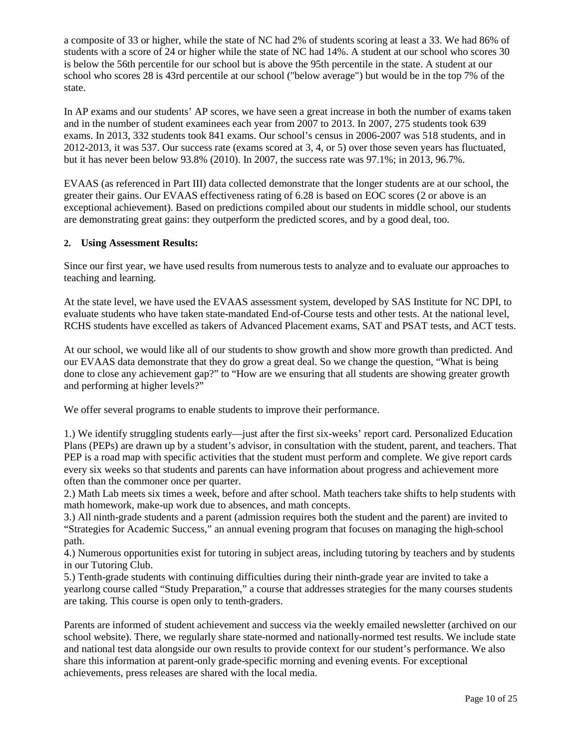a composite of 33 or higher, while the state of NC had 2% of students scoring at least a 33. We had 86% of students with a score of 24 or higher while the state of NC had 14%. A student at our school who scores 30 is below the 56th percentile for our school but is above the 95th percentile in the state. A student at our school who scores 28 is 43rd percentile at our school ("below average") but would be in the top 7% of the state.

In AP exams and our students' AP scores, we have seen a great increase in both the number of exams taken and in the number of student examinees each year from 2007 to 2013. In 2007, 275 students took 639 exams. In 2013, 332 students took 841 exams. Our school's census in 2006-2007 was 518 students, and in 2012-2013, it was 537. Our success rate (exams scored at 3, 4, or 5) over those seven years has fluctuated, but it has never been below 93.8% (2010). In 2007, the success rate was 97.1%; in 2013, 96.7%.

EVAAS (as referenced in Part III) data collected demonstrate that the longer students are at our school, the greater their gains. Our EVAAS effectiveness rating of 6.28 is based on EOC scores (2 or above is an exceptional achievement). Based on predictions compiled about our students in middle school, our students are demonstrating great gains: they outperform the predicted scores, and by a good deal, too.

#### **2. Using Assessment Results:**

Since our first year, we have used results from numerous tests to analyze and to evaluate our approaches to teaching and learning.

At the state level, we have used the EVAAS assessment system, developed by SAS Institute for NC DPI, to evaluate students who have taken state-mandated End-of-Course tests and other tests. At the national level, RCHS students have excelled as takers of Advanced Placement exams, SAT and PSAT tests, and ACT tests.

At our school, we would like all of our students to show growth and show more growth than predicted. And our EVAAS data demonstrate that they do grow a great deal. So we change the question, "What is being done to close any achievement gap?" to "How are we ensuring that all students are showing greater growth and performing at higher levels?"

We offer several programs to enable students to improve their performance.

1.) We identify struggling students early—just after the first six-weeks' report card. Personalized Education Plans (PEPs) are drawn up by a student's advisor, in consultation with the student, parent, and teachers. That PEP is a road map with specific activities that the student must perform and complete. We give report cards every six weeks so that students and parents can have information about progress and achievement more often than the commoner once per quarter.

2.) Math Lab meets six times a week, before and after school. Math teachers take shifts to help students with math homework, make-up work due to absences, and math concepts.

3.) All ninth-grade students and a parent (admission requires both the student and the parent) are invited to "Strategies for Academic Success," an annual evening program that focuses on managing the high-school path.

4.) Numerous opportunities exist for tutoring in subject areas, including tutoring by teachers and by students in our Tutoring Club.

5.) Tenth-grade students with continuing difficulties during their ninth-grade year are invited to take a yearlong course called "Study Preparation," a course that addresses strategies for the many courses students are taking. This course is open only to tenth-graders.

Parents are informed of student achievement and success via the weekly emailed newsletter (archived on our school website). There, we regularly share state-normed and nationally-normed test results. We include state and national test data alongside our own results to provide context for our student's performance. We also share this information at parent-only grade-specific morning and evening events. For exceptional achievements, press releases are shared with the local media.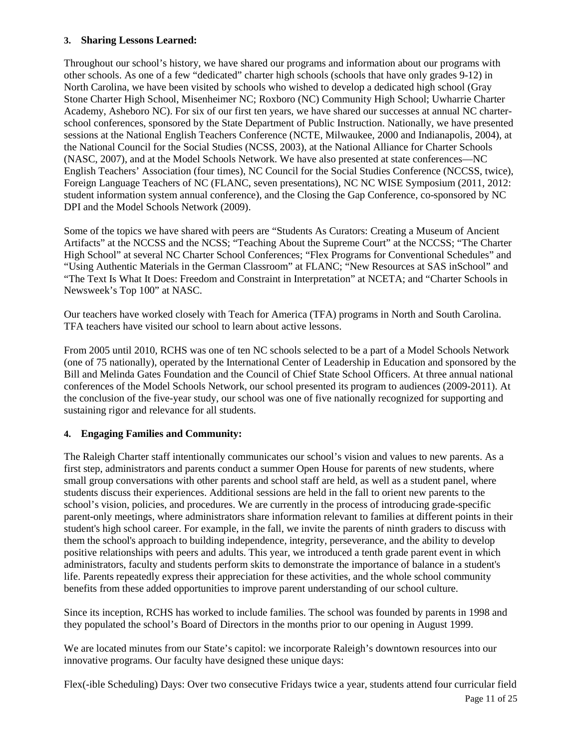#### **3. Sharing Lessons Learned:**

Throughout our school's history, we have shared our programs and information about our programs with other schools. As one of a few "dedicated" charter high schools (schools that have only grades 9-12) in North Carolina, we have been visited by schools who wished to develop a dedicated high school (Gray Stone Charter High School, Misenheimer NC; Roxboro (NC) Community High School; Uwharrie Charter Academy, Asheboro NC). For six of our first ten years, we have shared our successes at annual NC charterschool conferences, sponsored by the State Department of Public Instruction. Nationally, we have presented sessions at the National English Teachers Conference (NCTE, Milwaukee, 2000 and Indianapolis, 2004), at the National Council for the Social Studies (NCSS, 2003), at the National Alliance for Charter Schools (NASC, 2007), and at the Model Schools Network. We have also presented at state conferences—NC English Teachers' Association (four times), NC Council for the Social Studies Conference (NCCSS, twice), Foreign Language Teachers of NC (FLANC, seven presentations), NC NC WISE Symposium (2011, 2012: student information system annual conference), and the Closing the Gap Conference, co-sponsored by NC DPI and the Model Schools Network (2009).

Some of the topics we have shared with peers are "Students As Curators: Creating a Museum of Ancient Artifacts" at the NCCSS and the NCSS; "Teaching About the Supreme Court" at the NCCSS; "The Charter High School" at several NC Charter School Conferences; "Flex Programs for Conventional Schedules" and "Using Authentic Materials in the German Classroom" at FLANC; "New Resources at SAS inSchool" and "The Text Is What It Does: Freedom and Constraint in Interpretation" at NCETA; and "Charter Schools in Newsweek's Top 100" at NASC.

Our teachers have worked closely with Teach for America (TFA) programs in North and South Carolina. TFA teachers have visited our school to learn about active lessons.

From 2005 until 2010, RCHS was one of ten NC schools selected to be a part of a Model Schools Network (one of 75 nationally), operated by the International Center of Leadership in Education and sponsored by the Bill and Melinda Gates Foundation and the Council of Chief State School Officers. At three annual national conferences of the Model Schools Network, our school presented its program to audiences (2009-2011). At the conclusion of the five-year study, our school was one of five nationally recognized for supporting and sustaining rigor and relevance for all students.

#### **4. Engaging Families and Community:**

The Raleigh Charter staff intentionally communicates our school's vision and values to new parents. As a first step, administrators and parents conduct a summer Open House for parents of new students, where small group conversations with other parents and school staff are held, as well as a student panel, where students discuss their experiences. Additional sessions are held in the fall to orient new parents to the school's vision, policies, and procedures. We are currently in the process of introducing grade-specific parent-only meetings, where administrators share information relevant to families at different points in their student's high school career. For example, in the fall, we invite the parents of ninth graders to discuss with them the school's approach to building independence, integrity, perseverance, and the ability to develop positive relationships with peers and adults. This year, we introduced a tenth grade parent event in which administrators, faculty and students perform skits to demonstrate the importance of balance in a student's life. Parents repeatedly express their appreciation for these activities, and the whole school community benefits from these added opportunities to improve parent understanding of our school culture.

Since its inception, RCHS has worked to include families. The school was founded by parents in 1998 and they populated the school's Board of Directors in the months prior to our opening in August 1999.

We are located minutes from our State's capitol: we incorporate Raleigh's downtown resources into our innovative programs. Our faculty have designed these unique days:

Flex(-ible Scheduling) Days: Over two consecutive Fridays twice a year, students attend four curricular field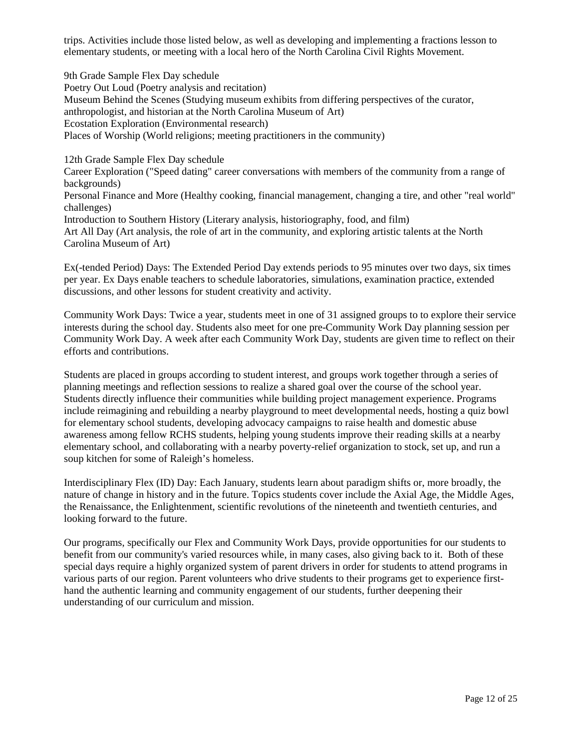trips. Activities include those listed below, as well as developing and implementing a fractions lesson to elementary students, or meeting with a local hero of the North Carolina Civil Rights Movement.

9th Grade Sample Flex Day schedule Poetry Out Loud (Poetry analysis and recitation) Museum Behind the Scenes (Studying museum exhibits from differing perspectives of the curator, anthropologist, and historian at the North Carolina Museum of Art) Ecostation Exploration (Environmental research) Places of Worship (World religions; meeting practitioners in the community)

12th Grade Sample Flex Day schedule

Career Exploration ("Speed dating" career conversations with members of the community from a range of backgrounds)

Personal Finance and More (Healthy cooking, financial management, changing a tire, and other "real world" challenges)

Introduction to Southern History (Literary analysis, historiography, food, and film)

Art All Day (Art analysis, the role of art in the community, and exploring artistic talents at the North Carolina Museum of Art)

Ex(-tended Period) Days: The Extended Period Day extends periods to 95 minutes over two days, six times per year. Ex Days enable teachers to schedule laboratories, simulations, examination practice, extended discussions, and other lessons for student creativity and activity.

Community Work Days: Twice a year, students meet in one of 31 assigned groups to to explore their service interests during the school day. Students also meet for one pre-Community Work Day planning session per Community Work Day. A week after each Community Work Day, students are given time to reflect on their efforts and contributions.

Students are placed in groups according to student interest, and groups work together through a series of planning meetings and reflection sessions to realize a shared goal over the course of the school year. Students directly influence their communities while building project management experience. Programs include reimagining and rebuilding a nearby playground to meet developmental needs, hosting a quiz bowl for elementary school students, developing advocacy campaigns to raise health and domestic abuse awareness among fellow RCHS students, helping young students improve their reading skills at a nearby elementary school, and collaborating with a nearby poverty-relief organization to stock, set up, and run a soup kitchen for some of Raleigh's homeless.

Interdisciplinary Flex (ID) Day: Each January, students learn about paradigm shifts or, more broadly, the nature of change in history and in the future. Topics students cover include the Axial Age, the Middle Ages, the Renaissance, the Enlightenment, scientific revolutions of the nineteenth and twentieth centuries, and looking forward to the future.

Our programs, specifically our Flex and Community Work Days, provide opportunities for our students to benefit from our community's varied resources while, in many cases, also giving back to it. Both of these special days require a highly organized system of parent drivers in order for students to attend programs in various parts of our region. Parent volunteers who drive students to their programs get to experience firsthand the authentic learning and community engagement of our students, further deepening their understanding of our curriculum and mission.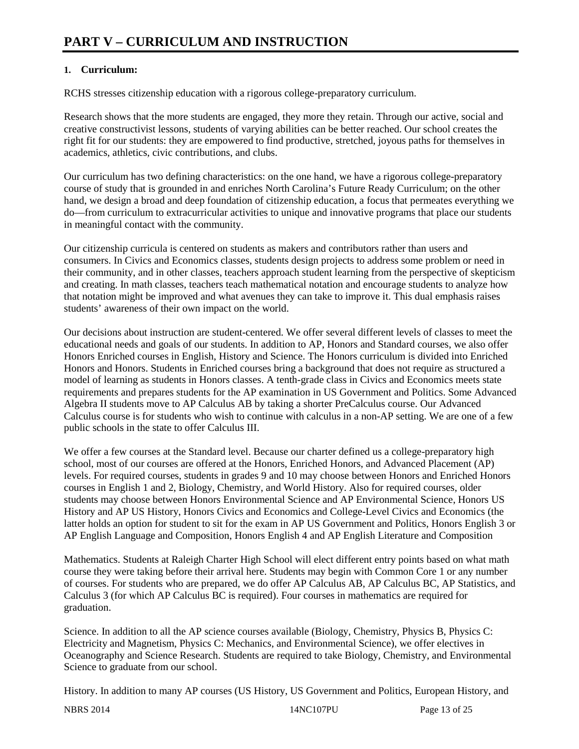### **1. Curriculum:**

RCHS stresses citizenship education with a rigorous college-preparatory curriculum.

Research shows that the more students are engaged, they more they retain. Through our active, social and creative constructivist lessons, students of varying abilities can be better reached. Our school creates the right fit for our students: they are empowered to find productive, stretched, joyous paths for themselves in academics, athletics, civic contributions, and clubs.

Our curriculum has two defining characteristics: on the one hand, we have a rigorous college-preparatory course of study that is grounded in and enriches North Carolina's Future Ready Curriculum; on the other hand, we design a broad and deep foundation of citizenship education, a focus that permeates everything we do—from curriculum to extracurricular activities to unique and innovative programs that place our students in meaningful contact with the community.

Our citizenship curricula is centered on students as makers and contributors rather than users and consumers. In Civics and Economics classes, students design projects to address some problem or need in their community, and in other classes, teachers approach student learning from the perspective of skepticism and creating. In math classes, teachers teach mathematical notation and encourage students to analyze how that notation might be improved and what avenues they can take to improve it. This dual emphasis raises students' awareness of their own impact on the world.

Our decisions about instruction are student-centered. We offer several different levels of classes to meet the educational needs and goals of our students. In addition to AP, Honors and Standard courses, we also offer Honors Enriched courses in English, History and Science. The Honors curriculum is divided into Enriched Honors and Honors. Students in Enriched courses bring a background that does not require as structured a model of learning as students in Honors classes. A tenth-grade class in Civics and Economics meets state requirements and prepares students for the AP examination in US Government and Politics. Some Advanced Algebra II students move to AP Calculus AB by taking a shorter PreCalculus course. Our Advanced Calculus course is for students who wish to continue with calculus in a non-AP setting. We are one of a few public schools in the state to offer Calculus III.

We offer a few courses at the Standard level. Because our charter defined us a college-preparatory high school, most of our courses are offered at the Honors, Enriched Honors, and Advanced Placement (AP) levels. For required courses, students in grades 9 and 10 may choose between Honors and Enriched Honors courses in English 1 and 2, Biology, Chemistry, and World History. Also for required courses, older students may choose between Honors Environmental Science and AP Environmental Science, Honors US History and AP US History, Honors Civics and Economics and College-Level Civics and Economics (the latter holds an option for student to sit for the exam in AP US Government and Politics, Honors English 3 or AP English Language and Composition, Honors English 4 and AP English Literature and Composition

Mathematics. Students at Raleigh Charter High School will elect different entry points based on what math course they were taking before their arrival here. Students may begin with Common Core 1 or any number of courses. For students who are prepared, we do offer AP Calculus AB, AP Calculus BC, AP Statistics, and Calculus 3 (for which AP Calculus BC is required). Four courses in mathematics are required for graduation.

Science. In addition to all the AP science courses available (Biology, Chemistry, Physics B, Physics C: Electricity and Magnetism, Physics C: Mechanics, and Environmental Science), we offer electives in Oceanography and Science Research. Students are required to take Biology, Chemistry, and Environmental Science to graduate from our school.

History. In addition to many AP courses (US History, US Government and Politics, European History, and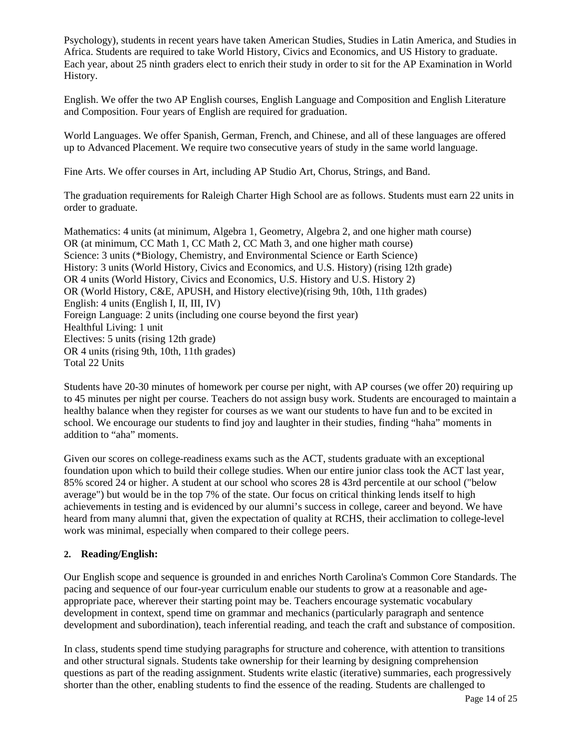Psychology), students in recent years have taken American Studies, Studies in Latin America, and Studies in Africa. Students are required to take World History, Civics and Economics, and US History to graduate. Each year, about 25 ninth graders elect to enrich their study in order to sit for the AP Examination in World History.

English. We offer the two AP English courses, English Language and Composition and English Literature and Composition. Four years of English are required for graduation.

World Languages. We offer Spanish, German, French, and Chinese, and all of these languages are offered up to Advanced Placement. We require two consecutive years of study in the same world language.

Fine Arts. We offer courses in Art, including AP Studio Art, Chorus, Strings, and Band.

The graduation requirements for Raleigh Charter High School are as follows. Students must earn 22 units in order to graduate.

Mathematics: 4 units (at minimum, Algebra 1, Geometry, Algebra 2, and one higher math course) OR (at minimum, CC Math 1, CC Math 2, CC Math 3, and one higher math course) Science: 3 units (\*Biology, Chemistry, and Environmental Science or Earth Science) History: 3 units (World History, Civics and Economics, and U.S. History) (rising 12th grade) OR 4 units (World History, Civics and Economics, U.S. History and U.S. History 2) OR (World History, C&E, APUSH, and History elective)(rising 9th, 10th, 11th grades) English: 4 units (English I, II, III, IV) Foreign Language: 2 units (including one course beyond the first year) Healthful Living: 1 unit Electives: 5 units (rising 12th grade) OR 4 units (rising 9th, 10th, 11th grades) Total 22 Units

Students have 20-30 minutes of homework per course per night, with AP courses (we offer 20) requiring up to 45 minutes per night per course. Teachers do not assign busy work. Students are encouraged to maintain a healthy balance when they register for courses as we want our students to have fun and to be excited in school. We encourage our students to find joy and laughter in their studies, finding "haha" moments in addition to "aha" moments.

Given our scores on college-readiness exams such as the ACT, students graduate with an exceptional foundation upon which to build their college studies. When our entire junior class took the ACT last year, 85% scored 24 or higher. A student at our school who scores 28 is 43rd percentile at our school ("below average") but would be in the top 7% of the state. Our focus on critical thinking lends itself to high achievements in testing and is evidenced by our alumni's success in college, career and beyond. We have heard from many alumni that, given the expectation of quality at RCHS, their acclimation to college-level work was minimal, especially when compared to their college peers.

#### **2. Reading/English:**

Our English scope and sequence is grounded in and enriches North Carolina's Common Core Standards. The pacing and sequence of our four-year curriculum enable our students to grow at a reasonable and ageappropriate pace, wherever their starting point may be. Teachers encourage systematic vocabulary development in context, spend time on grammar and mechanics (particularly paragraph and sentence development and subordination), teach inferential reading, and teach the craft and substance of composition.

In class, students spend time studying paragraphs for structure and coherence, with attention to transitions and other structural signals. Students take ownership for their learning by designing comprehension questions as part of the reading assignment. Students write elastic (iterative) summaries, each progressively shorter than the other, enabling students to find the essence of the reading. Students are challenged to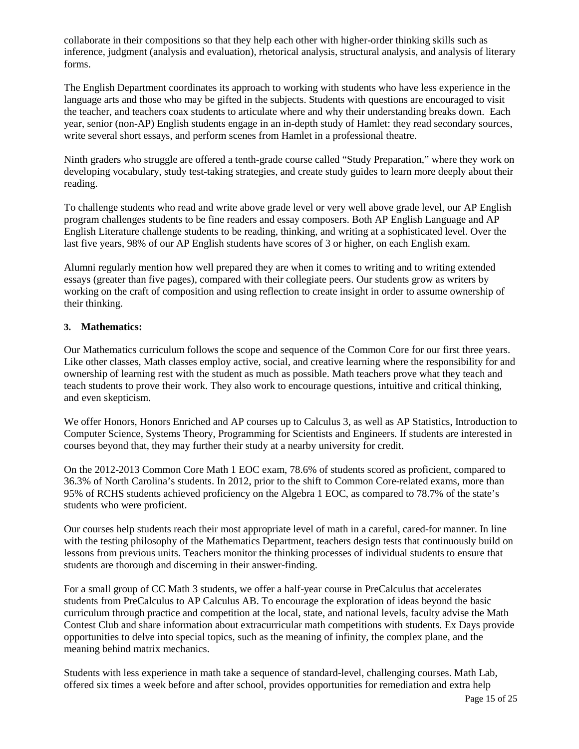collaborate in their compositions so that they help each other with higher-order thinking skills such as inference, judgment (analysis and evaluation), rhetorical analysis, structural analysis, and analysis of literary forms.

The English Department coordinates its approach to working with students who have less experience in the language arts and those who may be gifted in the subjects. Students with questions are encouraged to visit the teacher, and teachers coax students to articulate where and why their understanding breaks down. Each year, senior (non-AP) English students engage in an in-depth study of Hamlet: they read secondary sources, write several short essays, and perform scenes from Hamlet in a professional theatre.

Ninth graders who struggle are offered a tenth-grade course called "Study Preparation," where they work on developing vocabulary, study test-taking strategies, and create study guides to learn more deeply about their reading.

To challenge students who read and write above grade level or very well above grade level, our AP English program challenges students to be fine readers and essay composers. Both AP English Language and AP English Literature challenge students to be reading, thinking, and writing at a sophisticated level. Over the last five years, 98% of our AP English students have scores of 3 or higher, on each English exam.

Alumni regularly mention how well prepared they are when it comes to writing and to writing extended essays (greater than five pages), compared with their collegiate peers. Our students grow as writers by working on the craft of composition and using reflection to create insight in order to assume ownership of their thinking.

#### **3. Mathematics:**

Our Mathematics curriculum follows the scope and sequence of the Common Core for our first three years. Like other classes, Math classes employ active, social, and creative learning where the responsibility for and ownership of learning rest with the student as much as possible. Math teachers prove what they teach and teach students to prove their work. They also work to encourage questions, intuitive and critical thinking, and even skepticism.

We offer Honors, Honors Enriched and AP courses up to Calculus 3, as well as AP Statistics, Introduction to Computer Science, Systems Theory, Programming for Scientists and Engineers. If students are interested in courses beyond that, they may further their study at a nearby university for credit.

On the 2012-2013 Common Core Math 1 EOC exam, 78.6% of students scored as proficient, compared to 36.3% of North Carolina's students. In 2012, prior to the shift to Common Core-related exams, more than 95% of RCHS students achieved proficiency on the Algebra 1 EOC, as compared to 78.7% of the state's students who were proficient.

Our courses help students reach their most appropriate level of math in a careful, cared-for manner. In line with the testing philosophy of the Mathematics Department, teachers design tests that continuously build on lessons from previous units. Teachers monitor the thinking processes of individual students to ensure that students are thorough and discerning in their answer-finding.

For a small group of CC Math 3 students, we offer a half-year course in PreCalculus that accelerates students from PreCalculus to AP Calculus AB. To encourage the exploration of ideas beyond the basic curriculum through practice and competition at the local, state, and national levels, faculty advise the Math Contest Club and share information about extracurricular math competitions with students. Ex Days provide opportunities to delve into special topics, such as the meaning of infinity, the complex plane, and the meaning behind matrix mechanics.

Students with less experience in math take a sequence of standard-level, challenging courses. Math Lab, offered six times a week before and after school, provides opportunities for remediation and extra help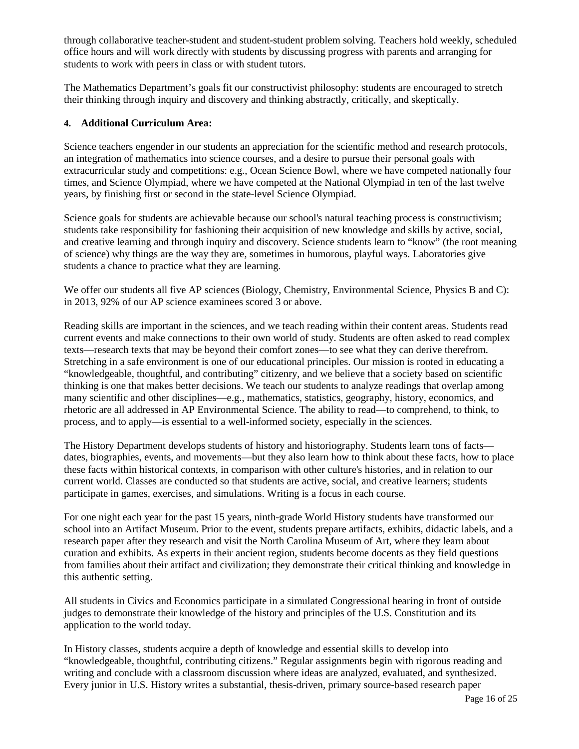through collaborative teacher-student and student-student problem solving. Teachers hold weekly, scheduled office hours and will work directly with students by discussing progress with parents and arranging for students to work with peers in class or with student tutors.

The Mathematics Department's goals fit our constructivist philosophy: students are encouraged to stretch their thinking through inquiry and discovery and thinking abstractly, critically, and skeptically.

#### **4. Additional Curriculum Area:**

Science teachers engender in our students an appreciation for the scientific method and research protocols, an integration of mathematics into science courses, and a desire to pursue their personal goals with extracurricular study and competitions: e.g., Ocean Science Bowl, where we have competed nationally four times, and Science Olympiad, where we have competed at the National Olympiad in ten of the last twelve years, by finishing first or second in the state-level Science Olympiad.

Science goals for students are achievable because our school's natural teaching process is constructivism; students take responsibility for fashioning their acquisition of new knowledge and skills by active, social, and creative learning and through inquiry and discovery. Science students learn to "know" (the root meaning of science) why things are the way they are, sometimes in humorous, playful ways. Laboratories give students a chance to practice what they are learning.

We offer our students all five AP sciences (Biology, Chemistry, Environmental Science, Physics B and C): in 2013, 92% of our AP science examinees scored 3 or above.

Reading skills are important in the sciences, and we teach reading within their content areas. Students read current events and make connections to their own world of study. Students are often asked to read complex texts—research texts that may be beyond their comfort zones—to see what they can derive therefrom. Stretching in a safe environment is one of our educational principles. Our mission is rooted in educating a "knowledgeable, thoughtful, and contributing" citizenry, and we believe that a society based on scientific thinking is one that makes better decisions. We teach our students to analyze readings that overlap among many scientific and other disciplines—e.g., mathematics, statistics, geography, history, economics, and rhetoric are all addressed in AP Environmental Science. The ability to read—to comprehend, to think, to process, and to apply—is essential to a well-informed society, especially in the sciences.

The History Department develops students of history and historiography. Students learn tons of facts dates, biographies, events, and movements—but they also learn how to think about these facts, how to place these facts within historical contexts, in comparison with other culture's histories, and in relation to our current world. Classes are conducted so that students are active, social, and creative learners; students participate in games, exercises, and simulations. Writing is a focus in each course.

For one night each year for the past 15 years, ninth-grade World History students have transformed our school into an Artifact Museum. Prior to the event, students prepare artifacts, exhibits, didactic labels, and a research paper after they research and visit the North Carolina Museum of Art, where they learn about curation and exhibits. As experts in their ancient region, students become docents as they field questions from families about their artifact and civilization; they demonstrate their critical thinking and knowledge in this authentic setting.

All students in Civics and Economics participate in a simulated Congressional hearing in front of outside judges to demonstrate their knowledge of the history and principles of the U.S. Constitution and its application to the world today.

In History classes, students acquire a depth of knowledge and essential skills to develop into "knowledgeable, thoughtful, contributing citizens." Regular assignments begin with rigorous reading and writing and conclude with a classroom discussion where ideas are analyzed, evaluated, and synthesized. Every junior in U.S. History writes a substantial, thesis-driven, primary source-based research paper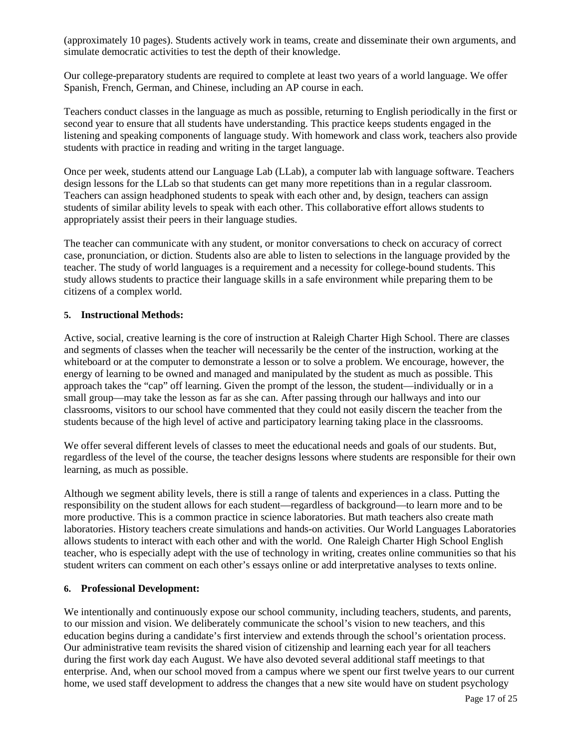(approximately 10 pages). Students actively work in teams, create and disseminate their own arguments, and simulate democratic activities to test the depth of their knowledge.

Our college-preparatory students are required to complete at least two years of a world language. We offer Spanish, French, German, and Chinese, including an AP course in each.

Teachers conduct classes in the language as much as possible, returning to English periodically in the first or second year to ensure that all students have understanding. This practice keeps students engaged in the listening and speaking components of language study. With homework and class work, teachers also provide students with practice in reading and writing in the target language.

Once per week, students attend our Language Lab (LLab), a computer lab with language software. Teachers design lessons for the LLab so that students can get many more repetitions than in a regular classroom. Teachers can assign headphoned students to speak with each other and, by design, teachers can assign students of similar ability levels to speak with each other. This collaborative effort allows students to appropriately assist their peers in their language studies.

The teacher can communicate with any student, or monitor conversations to check on accuracy of correct case, pronunciation, or diction. Students also are able to listen to selections in the language provided by the teacher. The study of world languages is a requirement and a necessity for college-bound students. This study allows students to practice their language skills in a safe environment while preparing them to be citizens of a complex world.

#### **5. Instructional Methods:**

Active, social, creative learning is the core of instruction at Raleigh Charter High School. There are classes and segments of classes when the teacher will necessarily be the center of the instruction, working at the whiteboard or at the computer to demonstrate a lesson or to solve a problem. We encourage, however, the energy of learning to be owned and managed and manipulated by the student as much as possible. This approach takes the "cap" off learning. Given the prompt of the lesson, the student—individually or in a small group—may take the lesson as far as she can. After passing through our hallways and into our classrooms, visitors to our school have commented that they could not easily discern the teacher from the students because of the high level of active and participatory learning taking place in the classrooms.

We offer several different levels of classes to meet the educational needs and goals of our students. But, regardless of the level of the course, the teacher designs lessons where students are responsible for their own learning, as much as possible.

Although we segment ability levels, there is still a range of talents and experiences in a class. Putting the responsibility on the student allows for each student—regardless of background—to learn more and to be more productive. This is a common practice in science laboratories. But math teachers also create math laboratories. History teachers create simulations and hands-on activities. Our World Languages Laboratories allows students to interact with each other and with the world. One Raleigh Charter High School English teacher, who is especially adept with the use of technology in writing, creates online communities so that his student writers can comment on each other's essays online or add interpretative analyses to texts online.

#### **6. Professional Development:**

We intentionally and continuously expose our school community, including teachers, students, and parents, to our mission and vision. We deliberately communicate the school's vision to new teachers, and this education begins during a candidate's first interview and extends through the school's orientation process. Our administrative team revisits the shared vision of citizenship and learning each year for all teachers during the first work day each August. We have also devoted several additional staff meetings to that enterprise. And, when our school moved from a campus where we spent our first twelve years to our current home, we used staff development to address the changes that a new site would have on student psychology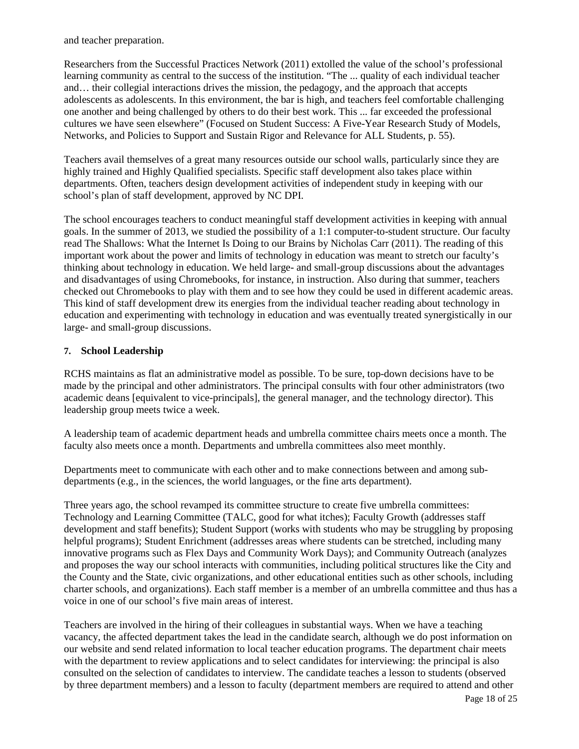and teacher preparation.

Researchers from the Successful Practices Network (2011) extolled the value of the school's professional learning community as central to the success of the institution. "The ... quality of each individual teacher and… their collegial interactions drives the mission, the pedagogy, and the approach that accepts adolescents as adolescents. In this environment, the bar is high, and teachers feel comfortable challenging one another and being challenged by others to do their best work. This ... far exceeded the professional cultures we have seen elsewhere" (Focused on Student Success: A Five-Year Research Study of Models, Networks, and Policies to Support and Sustain Rigor and Relevance for ALL Students, p. 55).

Teachers avail themselves of a great many resources outside our school walls, particularly since they are highly trained and Highly Qualified specialists. Specific staff development also takes place within departments. Often, teachers design development activities of independent study in keeping with our school's plan of staff development, approved by NC DPI.

The school encourages teachers to conduct meaningful staff development activities in keeping with annual goals. In the summer of 2013, we studied the possibility of a 1:1 computer-to-student structure. Our faculty read The Shallows: What the Internet Is Doing to our Brains by Nicholas Carr (2011). The reading of this important work about the power and limits of technology in education was meant to stretch our faculty's thinking about technology in education. We held large- and small-group discussions about the advantages and disadvantages of using Chromebooks, for instance, in instruction. Also during that summer, teachers checked out Chromebooks to play with them and to see how they could be used in different academic areas. This kind of staff development drew its energies from the individual teacher reading about technology in education and experimenting with technology in education and was eventually treated synergistically in our large- and small-group discussions.

#### **7. School Leadership**

RCHS maintains as flat an administrative model as possible. To be sure, top-down decisions have to be made by the principal and other administrators. The principal consults with four other administrators (two academic deans [equivalent to vice-principals], the general manager, and the technology director). This leadership group meets twice a week.

A leadership team of academic department heads and umbrella committee chairs meets once a month. The faculty also meets once a month. Departments and umbrella committees also meet monthly.

Departments meet to communicate with each other and to make connections between and among subdepartments (e.g., in the sciences, the world languages, or the fine arts department).

Three years ago, the school revamped its committee structure to create five umbrella committees: Technology and Learning Committee (TALC, good for what itches); Faculty Growth (addresses staff development and staff benefits); Student Support (works with students who may be struggling by proposing helpful programs); Student Enrichment (addresses areas where students can be stretched, including many innovative programs such as Flex Days and Community Work Days); and Community Outreach (analyzes and proposes the way our school interacts with communities, including political structures like the City and the County and the State, civic organizations, and other educational entities such as other schools, including charter schools, and organizations). Each staff member is a member of an umbrella committee and thus has a voice in one of our school's five main areas of interest.

Teachers are involved in the hiring of their colleagues in substantial ways. When we have a teaching vacancy, the affected department takes the lead in the candidate search, although we do post information on our website and send related information to local teacher education programs. The department chair meets with the department to review applications and to select candidates for interviewing: the principal is also consulted on the selection of candidates to interview. The candidate teaches a lesson to students (observed by three department members) and a lesson to faculty (department members are required to attend and other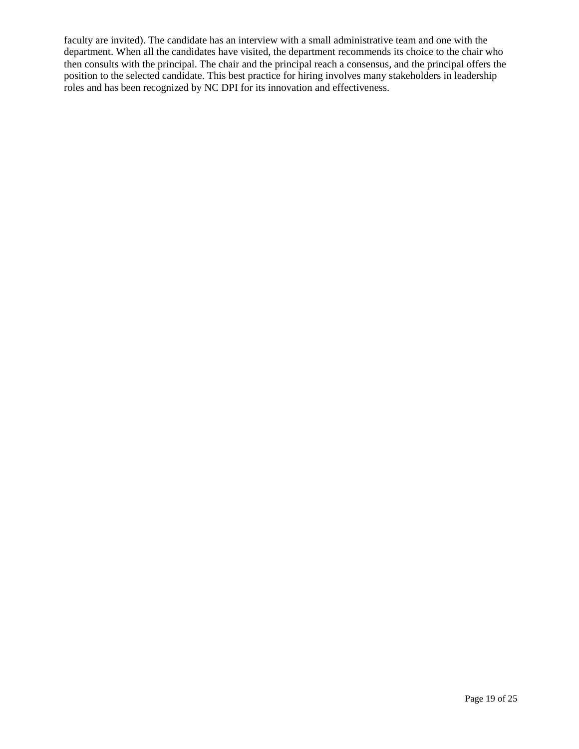faculty are invited). The candidate has an interview with a small administrative team and one with the department. When all the candidates have visited, the department recommends its choice to the chair who then consults with the principal. The chair and the principal reach a consensus, and the principal offers the position to the selected candidate. This best practice for hiring involves many stakeholders in leadership roles and has been recognized by NC DPI for its innovation and effectiveness.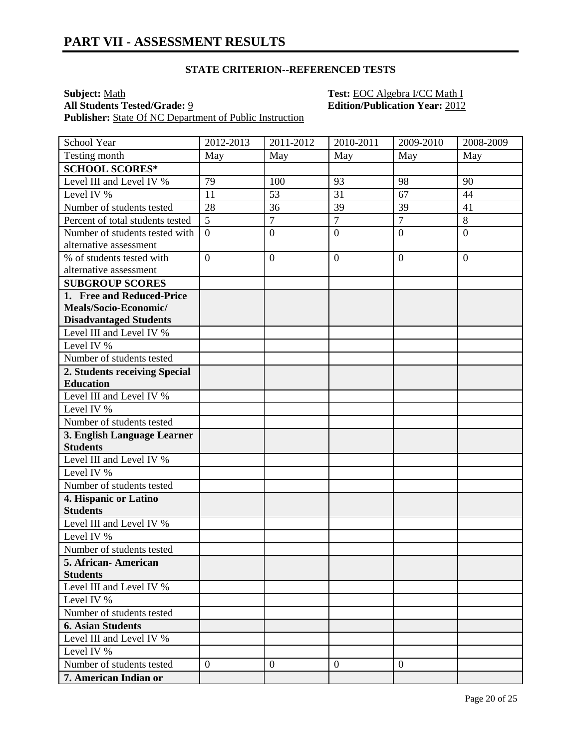#### **STATE CRITERION--REFERENCED TESTS**

**Subject:** Math **Test: EOC** Algebra I/CC Math I **All Students Tested/Grade:** 9 **Edition/Publication Year:** 2012 **Publisher:** State Of NC Department of Public Instruction

School Year 2012-2013 2011-2012 2010-2011 2009-2010 2008-2009 Testing month May May May May May May May May **SCHOOL SCORES\*** Level III and Level IV % 79 100 93 98 90 Level IV %  $11$  53 31 67 44 Number of students tested 28 36 39 39 41 Percent of total students tested  $\begin{bmatrix} 5 \\ 7 \end{bmatrix}$  7 7 8 Number of students tested with alternative assessment  $0 \qquad \qquad 0 \qquad \qquad 0 \qquad \qquad 0$ % of students tested with alternative assessment  $0 \qquad \qquad 0 \qquad \qquad 0 \qquad \qquad 0$ **SUBGROUP SCORES 1. Free and Reduced-Price Meals/Socio-Economic/ Disadvantaged Students** Level III and Level IV % Level IV % Number of students tested **2. Students receiving Special Education** Level III and Level IV % Level IV % Number of students tested **3. English Language Learner Students** Level III and Level IV % Level IV % Number of students tested **4. Hispanic or Latino Students** Level III and Level IV % Level IV % Number of students tested **5. African- American Students** Level III and Level IV % Level IV % Number of students tested **6. Asian Students** Level III and Level IV % Level IV % Number of students tested  $\begin{vmatrix} 0 & 0 \\ 0 & 0 \end{vmatrix}$   $\begin{vmatrix} 0 & 0 \\ 0 & 0 \end{vmatrix}$ **7. American Indian or**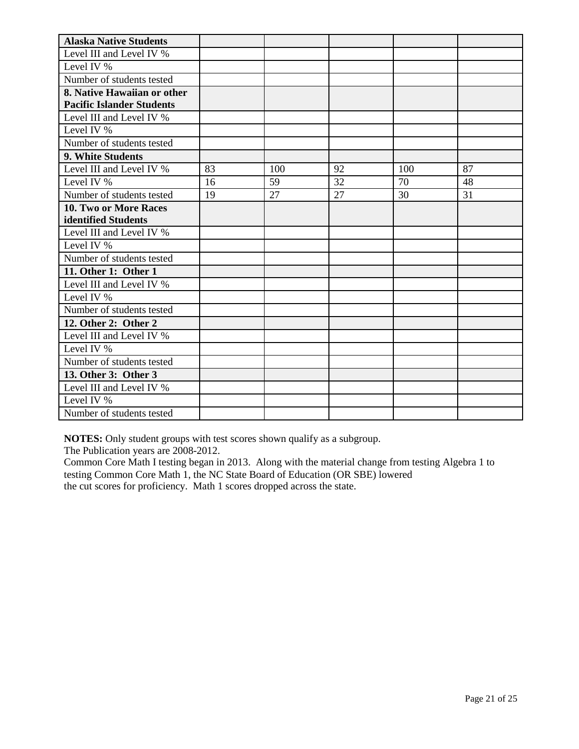| <b>Alaska Native Students</b>    |    |     |    |     |    |
|----------------------------------|----|-----|----|-----|----|
| Level III and Level IV %         |    |     |    |     |    |
| Level IV %                       |    |     |    |     |    |
| Number of students tested        |    |     |    |     |    |
| 8. Native Hawaiian or other      |    |     |    |     |    |
| <b>Pacific Islander Students</b> |    |     |    |     |    |
| Level III and Level IV %         |    |     |    |     |    |
| Level IV %                       |    |     |    |     |    |
| Number of students tested        |    |     |    |     |    |
| 9. White Students                |    |     |    |     |    |
| Level III and Level IV %         | 83 | 100 | 92 | 100 | 87 |
| Level IV %                       | 16 | 59  | 32 | 70  | 48 |
| Number of students tested        | 19 | 27  | 27 | 30  | 31 |
| 10. Two or More Races            |    |     |    |     |    |
| identified Students              |    |     |    |     |    |
| Level III and Level IV %         |    |     |    |     |    |
| Level IV %                       |    |     |    |     |    |
| Number of students tested        |    |     |    |     |    |
| 11. Other 1: Other 1             |    |     |    |     |    |
| Level III and Level IV %         |    |     |    |     |    |
| Level IV %                       |    |     |    |     |    |
| Number of students tested        |    |     |    |     |    |
| 12. Other 2: Other 2             |    |     |    |     |    |
| Level III and Level IV %         |    |     |    |     |    |
| Level IV %                       |    |     |    |     |    |
| Number of students tested        |    |     |    |     |    |
| 13. Other 3: Other 3             |    |     |    |     |    |
| Level III and Level IV %         |    |     |    |     |    |
| Level IV %                       |    |     |    |     |    |
| Number of students tested        |    |     |    |     |    |

**NOTES:** Only student groups with test scores shown qualify as a subgroup.

The Publication years are 2008-2012.

Common Core Math I testing began in 2013. Along with the material change from testing Algebra 1 to testing Common Core Math 1, the NC State Board of Education (OR SBE) lowered the cut scores for proficiency. Math 1 scores dropped across the state.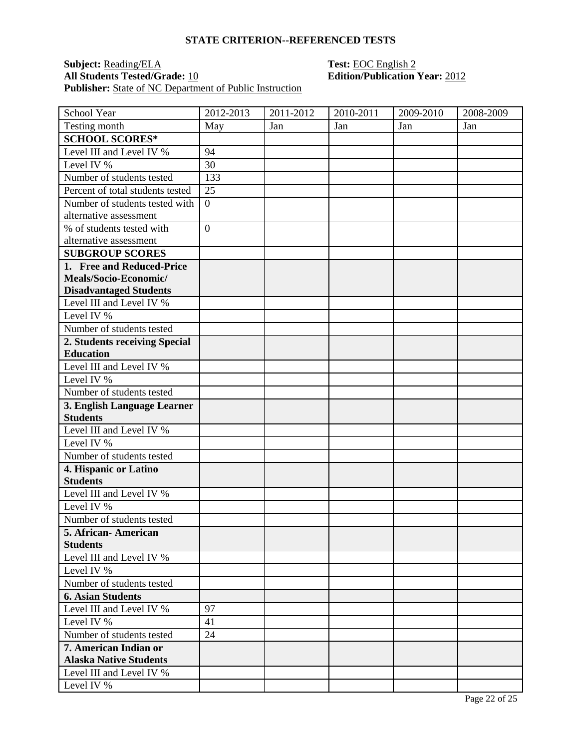#### **STATE CRITERION--REFERENCED TESTS**

### **Subject:** <u>Reading/ELA</u> **Test:** <u>EOC English 2</u><br> **All Students Tested/Grade:** <u>10</u> **Edition/Publication Publisher:** <u>State of NC Department of Public Instruction</u>

# **Edition/Publication Year: 2012**

| School Year                                           | 2012-2013      | 2011-2012 | 2010-2011 | 2009-2010 | 2008-2009 |
|-------------------------------------------------------|----------------|-----------|-----------|-----------|-----------|
| Testing month                                         | May            | Jan       | Jan       | Jan       | Jan       |
| <b>SCHOOL SCORES*</b>                                 |                |           |           |           |           |
| Level III and Level IV %                              | 94             |           |           |           |           |
| Level IV %                                            | 30             |           |           |           |           |
| Number of students tested                             | 133            |           |           |           |           |
| Percent of total students tested                      | 25             |           |           |           |           |
| Number of students tested with                        | $\overline{0}$ |           |           |           |           |
| alternative assessment                                |                |           |           |           |           |
| % of students tested with                             | $\overline{0}$ |           |           |           |           |
| alternative assessment                                |                |           |           |           |           |
| <b>SUBGROUP SCORES</b>                                |                |           |           |           |           |
| 1. Free and Reduced-Price                             |                |           |           |           |           |
| Meals/Socio-Economic/                                 |                |           |           |           |           |
| <b>Disadvantaged Students</b>                         |                |           |           |           |           |
| Level III and Level IV %                              |                |           |           |           |           |
| Level IV %                                            |                |           |           |           |           |
| Number of students tested                             |                |           |           |           |           |
| 2. Students receiving Special                         |                |           |           |           |           |
| <b>Education</b>                                      |                |           |           |           |           |
| Level III and Level IV %                              |                |           |           |           |           |
| Level IV %                                            |                |           |           |           |           |
| Number of students tested                             |                |           |           |           |           |
| 3. English Language Learner                           |                |           |           |           |           |
| <b>Students</b>                                       |                |           |           |           |           |
| Level III and Level IV %                              |                |           |           |           |           |
| Level IV %                                            |                |           |           |           |           |
| Number of students tested                             |                |           |           |           |           |
| 4. Hispanic or Latino                                 |                |           |           |           |           |
| <b>Students</b>                                       |                |           |           |           |           |
| Level III and Level IV %                              |                |           |           |           |           |
| Level IV %                                            |                |           |           |           |           |
| Number of students tested                             |                |           |           |           |           |
| 5. African - American                                 |                |           |           |           |           |
| <b>Students</b><br>Level III and Level IV %           |                |           |           |           |           |
| Level IV %                                            |                |           |           |           |           |
|                                                       |                |           |           |           |           |
| Number of students tested<br><b>6. Asian Students</b> |                |           |           |           |           |
|                                                       |                |           |           |           |           |
| Level III and Level IV %                              | 97             |           |           |           |           |
| Level IV %<br>Number of students tested               | 41<br>24       |           |           |           |           |
| 7. American Indian or                                 |                |           |           |           |           |
| <b>Alaska Native Students</b>                         |                |           |           |           |           |
| Level III and Level IV %                              |                |           |           |           |           |
|                                                       |                |           |           |           |           |
| Level IV %                                            |                |           |           |           |           |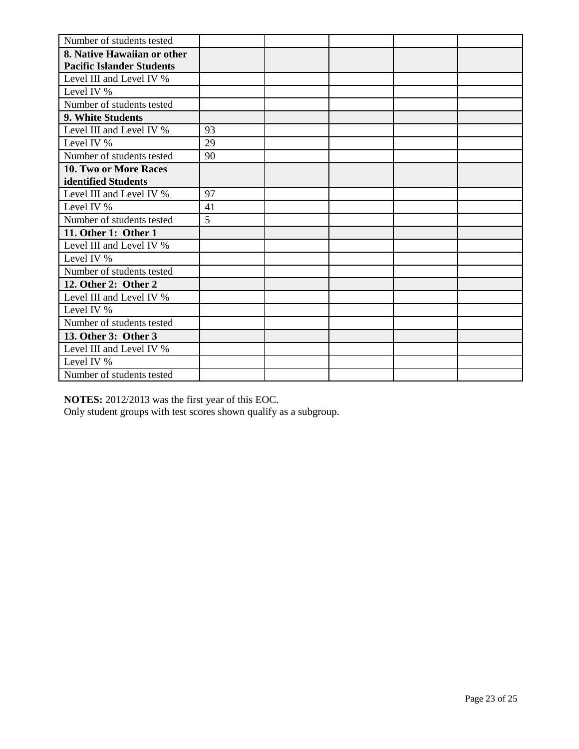| Number of students tested        |    |  |  |
|----------------------------------|----|--|--|
| 8. Native Hawaiian or other      |    |  |  |
| <b>Pacific Islander Students</b> |    |  |  |
| Level III and Level IV %         |    |  |  |
| Level IV %                       |    |  |  |
| Number of students tested        |    |  |  |
| 9. White Students                |    |  |  |
| Level III and Level IV %         | 93 |  |  |
| Level IV %                       | 29 |  |  |
| Number of students tested        | 90 |  |  |
| 10. Two or More Races            |    |  |  |
| identified Students              |    |  |  |
| Level III and Level IV %         | 97 |  |  |
| Level IV %                       | 41 |  |  |
| Number of students tested        | 5  |  |  |
| 11. Other 1: Other 1             |    |  |  |
| Level III and Level IV %         |    |  |  |
| Level IV %                       |    |  |  |
| Number of students tested        |    |  |  |
| 12. Other 2: Other 2             |    |  |  |
| Level III and Level IV %         |    |  |  |
| Level IV %                       |    |  |  |
| Number of students tested        |    |  |  |
| 13. Other 3: Other 3             |    |  |  |
| Level III and Level IV %         |    |  |  |
| Level IV %                       |    |  |  |
| Number of students tested        |    |  |  |

**NOTES:** 2012/2013 was the first year of this EOC.

Only student groups with test scores shown qualify as a subgroup.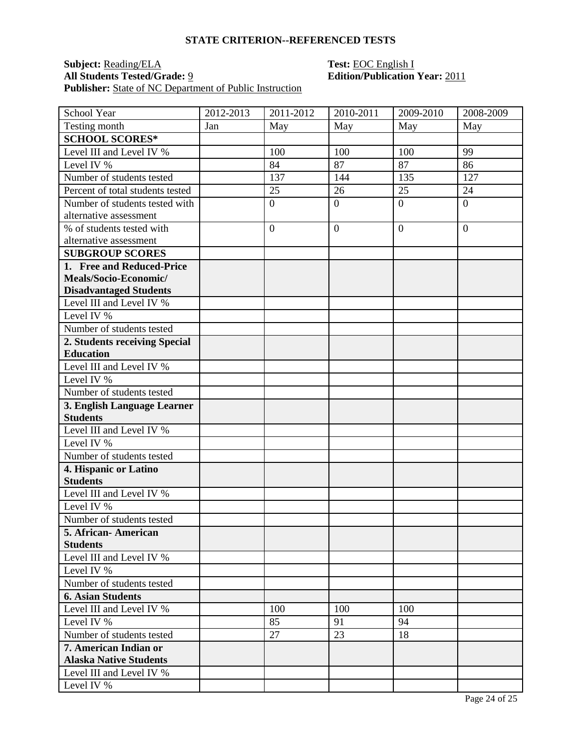#### **STATE CRITERION--REFERENCED TESTS**

### **Subject:** <u>Reading/ELA</u> **Test:** <u>EOC English I</u><br> **All Students Tested/Grade:** <u>9</u> **Edition/Publication Publisher:** <u>State of NC Department of Public Instruction</u>

## **All Students Tested/Grade:** 9 **Edition/Publication Year:** 2011

| School Year                      | 2012-2013 | 2011-2012        | 2010-2011      | 2009-2010      | 2008-2009      |
|----------------------------------|-----------|------------------|----------------|----------------|----------------|
| Testing month                    | Jan       | May              | May            | May            | May            |
| <b>SCHOOL SCORES*</b>            |           |                  |                |                |                |
| Level III and Level IV %         |           | 100              | 100            | 100            | 99             |
| Level IV %                       |           | 84               | 87             | 87             | 86             |
| Number of students tested        |           | 137              | 144            | 135            | 127            |
| Percent of total students tested |           | 25               | 26             | 25             | 24             |
| Number of students tested with   |           | $\boldsymbol{0}$ | $\overline{0}$ | $\overline{0}$ | $\overline{0}$ |
| alternative assessment           |           |                  |                |                |                |
| % of students tested with        |           | $\overline{0}$   | $\overline{0}$ | $\overline{0}$ | $\Omega$       |
| alternative assessment           |           |                  |                |                |                |
| <b>SUBGROUP SCORES</b>           |           |                  |                |                |                |
| 1. Free and Reduced-Price        |           |                  |                |                |                |
| Meals/Socio-Economic/            |           |                  |                |                |                |
| <b>Disadvantaged Students</b>    |           |                  |                |                |                |
| Level III and Level IV %         |           |                  |                |                |                |
| Level IV %                       |           |                  |                |                |                |
| Number of students tested        |           |                  |                |                |                |
| 2. Students receiving Special    |           |                  |                |                |                |
| <b>Education</b>                 |           |                  |                |                |                |
| Level III and Level IV %         |           |                  |                |                |                |
| Level IV %                       |           |                  |                |                |                |
| Number of students tested        |           |                  |                |                |                |
| 3. English Language Learner      |           |                  |                |                |                |
| <b>Students</b>                  |           |                  |                |                |                |
| Level III and Level IV %         |           |                  |                |                |                |
| Level IV %                       |           |                  |                |                |                |
| Number of students tested        |           |                  |                |                |                |
| 4. Hispanic or Latino            |           |                  |                |                |                |
| <b>Students</b>                  |           |                  |                |                |                |
| Level III and Level IV %         |           |                  |                |                |                |
| Level IV %                       |           |                  |                |                |                |
| Number of students tested        |           |                  |                |                |                |
| 5. African- American             |           |                  |                |                |                |
| <b>Students</b>                  |           |                  |                |                |                |
| Level III and Level IV %         |           |                  |                |                |                |
| Level IV %                       |           |                  |                |                |                |
| Number of students tested        |           |                  |                |                |                |
| <b>6. Asian Students</b>         |           |                  |                |                |                |
| Level III and Level IV %         |           | 100              | 100            | 100            |                |
| Level IV %                       |           | 85               | 91             | 94             |                |
| Number of students tested        |           | 27               | 23             | 18             |                |
| 7. American Indian or            |           |                  |                |                |                |
| <b>Alaska Native Students</b>    |           |                  |                |                |                |
| Level III and Level IV %         |           |                  |                |                |                |
| Level IV %                       |           |                  |                |                |                |